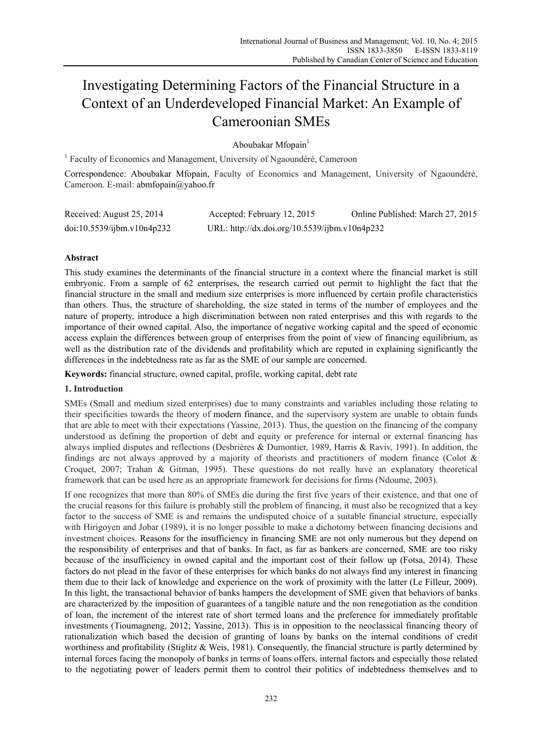# Investigating Determining Factors of the Financial Structure in a Context of an Underdeveloped Financial Market: An Example of Cameroonian SMEs

Aboubakar Mfopain $<sup>1</sup>$ </sup>

<sup>1</sup> Faculty of Economics and Management, University of Ngaoundéré, Cameroon

Correspondence: Aboubakar Mfopain, Faculty of Economics and Management, University of Ngaoundéré, Cameroon. E-mail: abmfopain@yahoo.fr

| Received: August 25, 2014  | Accepted: February 12, 2015                   | Online Published: March 27, 2015 |
|----------------------------|-----------------------------------------------|----------------------------------|
| doi:10.5539/ijbm.v10n4p232 | URL: http://dx.doi.org/10.5539/ijbm.v10n4p232 |                                  |

# **Abstract**

This study examines the determinants of the financial structure in a context where the financial market is still embryonic. From a sample of 62 enterprises, the research carried out permit to highlight the fact that the financial structure in the small and medium size enterprises is more influenced by certain profile characteristics than others. Thus, the structure of shareholding, the size stated in terms of the number of employees and the nature of property, introduce a high discrimination between non rated enterprises and this with regards to the importance of their owned capital. Also, the importance of negative working capital and the speed of economic access explain the differences between group of enterprises from the point of view of financing equilibrium, as well as the distribution rate of the dividends and profitability which are reputed in explaining significantly the differences in the indebtedness rate as far as the SME of our sample are concerned.

**Keywords:** financial structure, owned capital, profile, working capital, debt rate

# **1. Introduction**

SMEs (Small and medium sized enterprises) due to many constraints and variables including those relating to their specificities towards the theory of modern finance, and the supervisory system are unable to obtain funds that are able to meet with their expectations (Yassine, 2013). Thus, the question on the financing of the company understood as defining the proportion of debt and equity or preference for internal or external financing has always implied disputes and reflections (Desbrières & Dumontier, 1989, Harris & Raviv, 1991). In addition, the findings are not always approved by a majority of theorists and practitioners of modern finance (Colot  $\&$ Croquet, 2007; Trahan & Gitman, 1995). These questions do not really have an explanatory theoretical framework that can be used here as an appropriate framework for decisions for firms (Ndoume, 2003).

If one recognizes that more than 80% of SMEs die during the first five years of their existence, and that one of the crucial reasons for this failure is probably still the problem of financing, it must also be recognized that a key factor to the success of SME is and remains the undisputed choice of a suitable financial structure, especially with Hirigoyen and Jobar (1989), it is no longer possible to make a dichotomy between financing decisions and investment choices. Reasons for the insufficiency in financing SME are not only numerous but they depend on the responsibility of enterprises and that of banks. In fact, as far as bankers are concerned, SME are too risky because of the insufficiency in owned capital and the important cost of their follow up (Fotsa, 2014). These factors do not plead in the favor of these enterprises for which banks do not always find any interest in financing them due to their lack of knowledge and experience on the work of proximity with the latter (Le Filleur, 2009). In this light, the transactional behavior of banks hampers the development of SME given that behaviors of banks are characterized by the imposition of guarantees of a tangible nature and the non renegotiation as the condition of loan, the increment of the interest rate of short termed loans and the preference for immediately profitable investments (Tioumagneng, 2012; Yassine, 2013). This is in opposition to the neoclassical financing theory of rationalization which based the decision of granting of loans by banks on the internal conditions of credit worthiness and profitability (Stiglitz & Weis, 1981). Consequently, the financial structure is partly determined by internal forces facing the monopoly of banks in terms of loans offers, internal factors and especially those related to the negotiating power of leaders permit them to control their politics of indebtedness themselves and to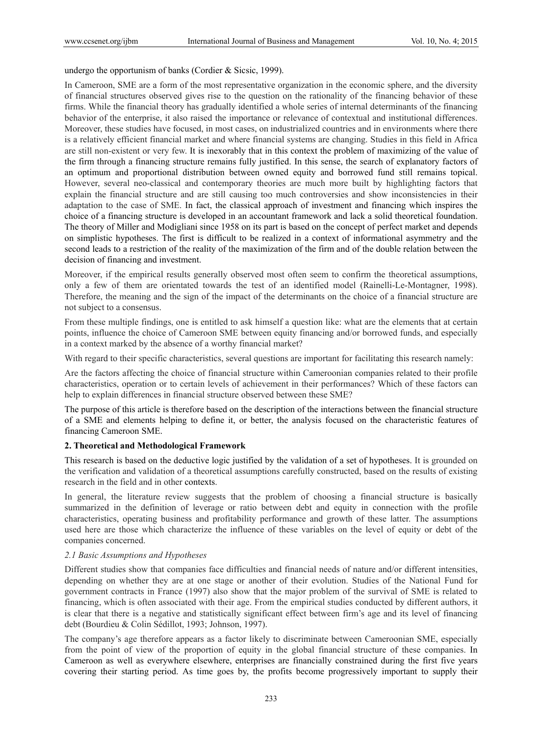undergo the opportunism of banks (Cordier & Sicsic, 1999).

In Cameroon, SME are a form of the most representative organization in the economic sphere, and the diversity of financial structures observed gives rise to the question on the rationality of the financing behavior of these firms. While the financial theory has gradually identified a whole series of internal determinants of the financing behavior of the enterprise, it also raised the importance or relevance of contextual and institutional differences. Moreover, these studies have focused, in most cases, on industrialized countries and in environments where there is a relatively efficient financial market and where financial systems are changing. Studies in this field in Africa are still non-existent or very few. It is inexorably that in this context the problem of maximizing of the value of the firm through a financing structure remains fully justified. In this sense, the search of explanatory factors of an optimum and proportional distribution between owned equity and borrowed fund still remains topical. However, several neo-classical and contemporary theories are much more built by highlighting factors that explain the financial structure and are still causing too much controversies and show inconsistencies in their adaptation to the case of SME. In fact, the classical approach of investment and financing which inspires the choice of a financing structure is developed in an accountant framework and lack a solid theoretical foundation. The theory of Miller and Modigliani since 1958 on its part is based on the concept of perfect market and depends on simplistic hypotheses. The first is difficult to be realized in a context of informational asymmetry and the second leads to a restriction of the reality of the maximization of the firm and of the double relation between the decision of financing and investment.

Moreover, if the empirical results generally observed most often seem to confirm the theoretical assumptions, only a few of them are orientated towards the test of an identified model (Rainelli-Le-Montagner, 1998). Therefore, the meaning and the sign of the impact of the determinants on the choice of a financial structure are not subject to a consensus.

From these multiple findings, one is entitled to ask himself a question like: what are the elements that at certain points, influence the choice of Cameroon SME between equity financing and/or borrowed funds, and especially in a context marked by the absence of a worthy financial market?

With regard to their specific characteristics, several questions are important for facilitating this research namely:

Are the factors affecting the choice of financial structure within Cameroonian companies related to their profile characteristics, operation or to certain levels of achievement in their performances? Which of these factors can help to explain differences in financial structure observed between these SME?

The purpose of this article is therefore based on the description of the interactions between the financial structure of a SME and elements helping to define it, or better, the analysis focused on the characteristic features of financing Cameroon SME.

#### **2. Theoretical and Methodological Framework**

This research is based on the deductive logic justified by the validation of a set of hypotheses. It is grounded on the verification and validation of a theoretical assumptions carefully constructed, based on the results of existing research in the field and in other contexts.

In general, the literature review suggests that the problem of choosing a financial structure is basically summarized in the definition of leverage or ratio between debt and equity in connection with the profile characteristics, operating business and profitability performance and growth of these latter. The assumptions used here are those which characterize the influence of these variables on the level of equity or debt of the companies concerned.

#### *2.1 Basic Assumptions and Hypotheses*

Different studies show that companies face difficulties and financial needs of nature and/or different intensities, depending on whether they are at one stage or another of their evolution. Studies of the National Fund for government contracts in France (1997) also show that the major problem of the survival of SME is related to financing, which is often associated with their age. From the empirical studies conducted by different authors, it is clear that there is a negative and statistically significant effect between firm's age and its level of financing debt (Bourdieu & Colin Sédillot, 1993; Johnson, 1997).

The company's age therefore appears as a factor likely to discriminate between Cameroonian SME, especially from the point of view of the proportion of equity in the global financial structure of these companies. In Cameroon as well as everywhere elsewhere, enterprises are financially constrained during the first five years covering their starting period. As time goes by, the profits become progressively important to supply their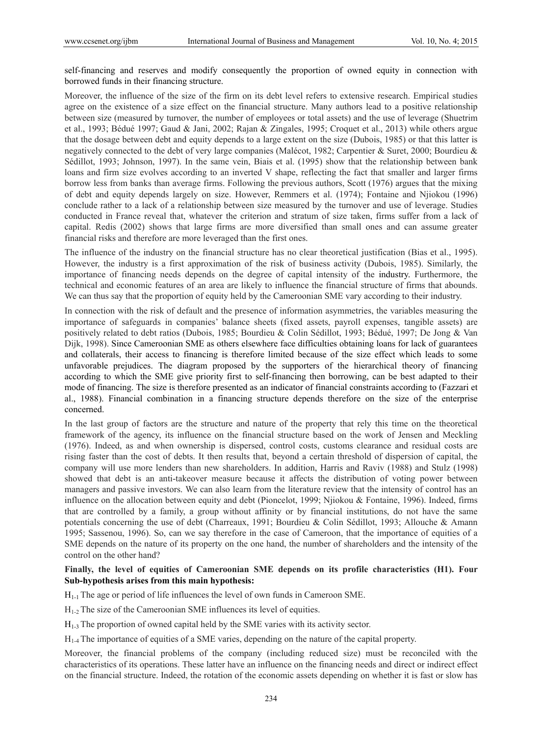self-financing and reserves and modify consequently the proportion of owned equity in connection with borrowed funds in their financing structure.

Moreover, the influence of the size of the firm on its debt level refers to extensive research. Empirical studies agree on the existence of a size effect on the financial structure. Many authors lead to a positive relationship between size (measured by turnover, the number of employees or total assets) and the use of leverage (Shuetrim et al., 1993; Bédué 1997; Gaud & Jani, 2002; Rajan & Zingales, 1995; Croquet et al., 2013) while others argue that the dosage between debt and equity depends to a large extent on the size (Dubois, 1985) or that this latter is negatively connected to the debt of very large companies (Malécot, 1982; Carpentier & Suret, 2000; Bourdieu & Sédillot, 1993; Johnson, 1997). In the same vein, Biais et al. (1995) show that the relationship between bank loans and firm size evolves according to an inverted V shape, reflecting the fact that smaller and larger firms borrow less from banks than average firms. Following the previous authors, Scott (1976) argues that the mixing of debt and equity depends largely on size. However, Remmers et al. (1974); Fontaine and Njiokou (1996) conclude rather to a lack of a relationship between size measured by the turnover and use of leverage. Studies conducted in France reveal that, whatever the criterion and stratum of size taken, firms suffer from a lack of capital. Redis (2002) shows that large firms are more diversified than small ones and can assume greater financial risks and therefore are more leveraged than the first ones.

The influence of the industry on the financial structure has no clear theoretical justification (Bias et al., 1995). However, the industry is a first approximation of the risk of business activity (Dubois, 1985). Similarly, the importance of financing needs depends on the degree of capital intensity of the industry. Furthermore, the technical and economic features of an area are likely to influence the financial structure of firms that abounds. We can thus say that the proportion of equity held by the Cameroonian SME vary according to their industry.

In connection with the risk of default and the presence of information asymmetries, the variables measuring the importance of safeguards in companies' balance sheets (fixed assets, payroll expenses, tangible assets) are positively related to debt ratios (Dubois, 1985; Bourdieu & Colin Sédillot, 1993; Bédué, 1997; De Jong & Van Dijk, 1998). Since Cameroonian SME as others elsewhere face difficulties obtaining loans for lack of guarantees and collaterals, their access to financing is therefore limited because of the size effect which leads to some unfavorable prejudices. The diagram proposed by the supporters of the hierarchical theory of financing according to which the SME give priority first to self-financing then borrowing, can be best adapted to their mode of financing. The size is therefore presented as an indicator of financial constraints according to (Fazzari et al., 1988). Financial combination in a financing structure depends therefore on the size of the enterprise concerned.

In the last group of factors are the structure and nature of the property that rely this time on the theoretical framework of the agency, its influence on the financial structure based on the work of Jensen and Meckling (1976). Indeed, as and when ownership is dispersed, control costs, customs clearance and residual costs are rising faster than the cost of debts. It then results that, beyond a certain threshold of dispersion of capital, the company will use more lenders than new shareholders. In addition, Harris and Raviv (1988) and Stulz (1998) showed that debt is an anti-takeover measure because it affects the distribution of voting power between managers and passive investors. We can also learn from the literature review that the intensity of control has an influence on the allocation between equity and debt (Pioncelot, 1999; Njiokou & Fontaine, 1996). Indeed, firms that are controlled by a family, a group without affinity or by financial institutions, do not have the same potentials concerning the use of debt (Charreaux, 1991; Bourdieu & Colin Sédillot, 1993; Allouche & Amann 1995; Sassenou, 1996). So, can we say therefore in the case of Cameroon, that the importance of equities of a SME depends on the nature of its property on the one hand, the number of shareholders and the intensity of the control on the other hand?

## **Finally, the level of equities of Cameroonian SME depends on its profile characteristics (H1). Four Sub-hypothesis arises from this main hypothesis:**

 $H<sub>1-1</sub>$  The age or period of life influences the level of own funds in Cameroon SME.

 $H<sub>1-2</sub>$  The size of the Cameroonian SME influences its level of equities.

 $H<sub>1-3</sub>$  The proportion of owned capital held by the SME varies with its activity sector.

H1-4 The importance of equities of a SME varies, depending on the nature of the capital property.

Moreover, the financial problems of the company (including reduced size) must be reconciled with the characteristics of its operations. These latter have an influence on the financing needs and direct or indirect effect on the financial structure. Indeed, the rotation of the economic assets depending on whether it is fast or slow has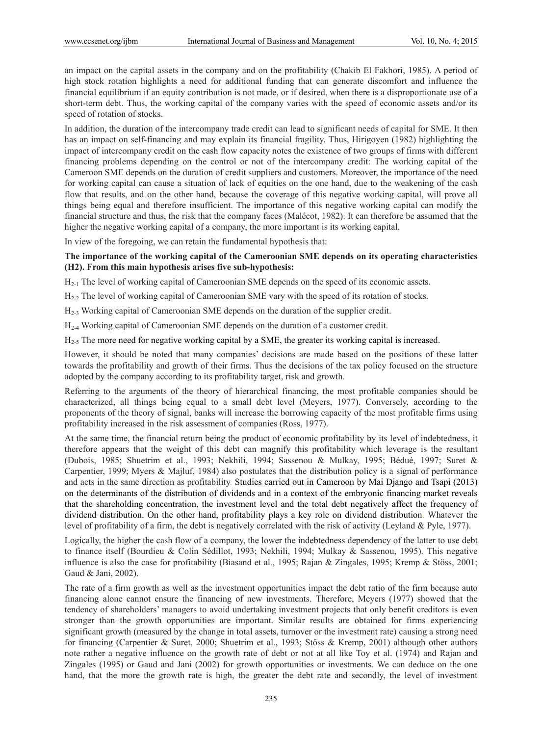an impact on the capital assets in the company and on the profitability (Chakib El Fakhori, 1985). A period of high stock rotation highlights a need for additional funding that can generate discomfort and influence the financial equilibrium if an equity contribution is not made, or if desired, when there is a disproportionate use of a short-term debt. Thus, the working capital of the company varies with the speed of economic assets and/or its speed of rotation of stocks.

In addition, the duration of the intercompany trade credit can lead to significant needs of capital for SME. It then has an impact on self-financing and may explain its financial fragility. Thus, Hirigoyen (1982) highlighting the impact of intercompany credit on the cash flow capacity notes the existence of two groups of firms with different financing problems depending on the control or not of the intercompany credit: The working capital of the Cameroon SME depends on the duration of credit suppliers and customers. Moreover, the importance of the need for working capital can cause a situation of lack of equities on the one hand, due to the weakening of the cash flow that results, and on the other hand, because the coverage of this negative working capital, will prove all things being equal and therefore insufficient. The importance of this negative working capital can modify the financial structure and thus, the risk that the company faces (Malécot, 1982). It can therefore be assumed that the higher the negative working capital of a company, the more important is its working capital.

In view of the foregoing, we can retain the fundamental hypothesis that:

# **The importance of the working capital of the Cameroonian SME depends on its operating characteristics (H2). From this main hypothesis arises five sub-hypothesis:**

H2-1 The level of working capital of Cameroonian SME depends on the speed of its economic assets.

H<sub>2-2</sub> The level of working capital of Cameroonian SME vary with the speed of its rotation of stocks.

H2-3 Working capital of Cameroonian SME depends on the duration of the supplier credit.

H2-4 Working capital of Cameroonian SME depends on the duration of a customer credit.

H2-5 The more need for negative working capital by a SME, the greater its working capital is increased.

However, it should be noted that many companies' decisions are made based on the positions of these latter towards the profitability and growth of their firms. Thus the decisions of the tax policy focused on the structure adopted by the company according to its profitability target, risk and growth.

Referring to the arguments of the theory of hierarchical financing, the most profitable companies should be characterized, all things being equal to a small debt level (Meyers, 1977). Conversely, according to the proponents of the theory of signal, banks will increase the borrowing capacity of the most profitable firms using profitability increased in the risk assessment of companies (Ross, 1977).

At the same time, the financial return being the product of economic profitability by its level of indebtedness, it therefore appears that the weight of this debt can magnify this profitability which leverage is the resultant (Dubois, 1985; Shuetrim et al., 1993; Nekhili, 1994; Sassenou & Mulkay, 1995; Bédué, 1997; Suret & Carpentier, 1999; Myers & Majluf, 1984) also postulates that the distribution policy is a signal of performance and acts in the same direction as profitability. Studies carried out in Cameroon by Mai Django and Tsapi (2013) on the determinants of the distribution of dividends and in a context of the embryonic financing market reveals that the shareholding concentration, the investment level and the total debt negatively affect the frequency of dividend distribution. On the other hand, profitability plays a key role on dividend distribution. Whatever the level of profitability of a firm, the debt is negatively correlated with the risk of activity (Leyland & Pyle, 1977).

Logically, the higher the cash flow of a company, the lower the indebtedness dependency of the latter to use debt to finance itself (Bourdieu & Colin Sédillot, 1993; Nekhili, 1994; Mulkay & Sassenou, 1995). This negative influence is also the case for profitability (Biasand et al., 1995; Rajan & Zingales, 1995; Kremp & Stöss, 2001; Gaud & Jani, 2002).

The rate of a firm growth as well as the investment opportunities impact the debt ratio of the firm because auto financing alone cannot ensure the financing of new investments. Therefore, Meyers (1977) showed that the tendency of shareholders' managers to avoid undertaking investment projects that only benefit creditors is even stronger than the growth opportunities are important. Similar results are obtained for firms experiencing significant growth (measured by the change in total assets, turnover or the investment rate) causing a strong need for financing (Carpentier & Suret, 2000; Shuetrim et al., 1993; Stöss & Kremp, 2001) although other authors note rather a negative influence on the growth rate of debt or not at all like Toy et al. (1974) and Rajan and Zingales (1995) or Gaud and Jani (2002) for growth opportunities or investments. We can deduce on the one hand, that the more the growth rate is high, the greater the debt rate and secondly, the level of investment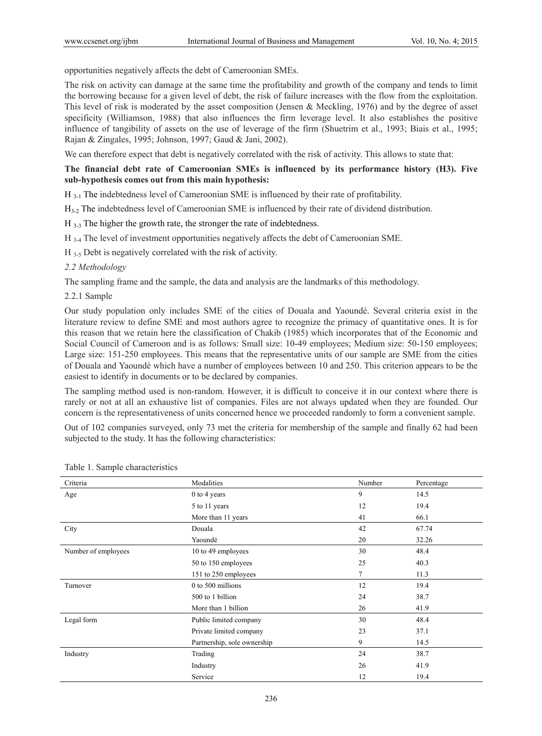opportunities negatively affects the debt of Cameroonian SMEs.

The risk on activity can damage at the same time the profitability and growth of the company and tends to limit the borrowing because for a given level of debt, the risk of failure increases with the flow from the exploitation. This level of risk is moderated by the asset composition (Jensen & Meckling, 1976) and by the degree of asset specificity (Williamson, 1988) that also influences the firm leverage level. It also establishes the positive influence of tangibility of assets on the use of leverage of the firm (Shuetrim et al., 1993; Biais et al., 1995; Rajan & Zingales, 1995; Johnson, 1997; Gaud & Jani, 2002).

We can therefore expect that debt is negatively correlated with the risk of activity. This allows to state that:

# **The financial debt rate of Cameroonian SMEs is influenced by its performance history (H3). Five sub-hypothesis comes out from this main hypothesis:**

H 3-1 The indebtedness level of Cameroonian SME is influenced by their rate of profitability.

H3-2 The indebtedness level of Cameroonian SME is influenced by their rate of dividend distribution.

H 3-3 The higher the growth rate, the stronger the rate of indebtedness.

H 3-4 The level of investment opportunities negatively affects the debt of Cameroonian SME.

H 3-5 Debt is negatively correlated with the risk of activity.

#### *2.2 Methodology*

The sampling frame and the sample, the data and analysis are the landmarks of this methodology.

2.2.1 Sample

Our study population only includes SME of the cities of Douala and Yaoundé. Several criteria exist in the literature review to define SME and most authors agree to recognize the primacy of quantitative ones. It is for this reason that we retain here the classification of Chakib (1985) which incorporates that of the Economic and Social Council of Cameroon and is as follows: Small size: 10-49 employees; Medium size: 50-150 employees; Large size: 151-250 employees. This means that the representative units of our sample are SME from the cities of Douala and Yaoundé which have a number of employees between 10 and 250. This criterion appears to be the easiest to identify in documents or to be declared by companies.

The sampling method used is non-random. However, it is difficult to conceive it in our context where there is rarely or not at all an exhaustive list of companies. Files are not always updated when they are founded. Our concern is the representativeness of units concerned hence we proceeded randomly to form a convenient sample.

Out of 102 companies surveyed, only 73 met the criteria for membership of the sample and finally 62 had been subjected to the study. It has the following characteristics:

| Criteria            | Modalities                  | Number | Percentage |
|---------------------|-----------------------------|--------|------------|
| Age                 | 0 to 4 years                | 9      | 14.5       |
|                     | 5 to 11 years               | 12     | 19.4       |
|                     | More than 11 years          | 41     | 66.1       |
| City                | Douala                      | 42     | 67.74      |
|                     | Yaoundé                     | 20     | 32.26      |
| Number of employees | 10 to 49 employees          | 30     | 48.4       |
|                     | 50 to 150 employees         | 25     | 40.3       |
|                     | 151 to 250 employees        | 7      | 11.3       |
| Turnover            | 0 to 500 millions           | 12     | 19.4       |
|                     | 500 to 1 billion            | 24     | 38.7       |
|                     | More than 1 billion         | 26     | 41.9       |
| Legal form          | Public limited company      | 30     | 48.4       |
|                     | Private limited company     | 23     | 37.1       |
|                     | Partnership, sole ownership | 9      | 14.5       |
| Industry            | Trading                     | 24     | 38.7       |
|                     | Industry                    | 26     | 41.9       |
|                     | Service                     | 12     | 19.4       |

#### Table 1. Sample characteristics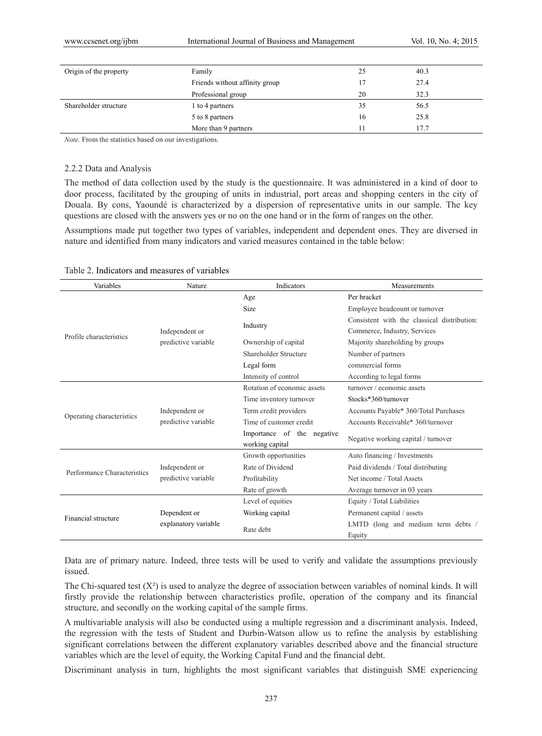| Origin of the property | Family                         | 25 | 40.3 |
|------------------------|--------------------------------|----|------|
|                        | Friends without affinity group | 17 | 27.4 |
|                        | Professional group             | 20 | 32.3 |
| Shareholder structure  | 1 to 4 partners                | 35 | 56.5 |
|                        | 5 to 8 partners                | 16 | 25.8 |
|                        | More than 9 partners           | 11 | 17.7 |

*Note.* From the statistics based on our investigations.

#### 2.2.2 Data and Analysis

The method of data collection used by the study is the questionnaire. It was administered in a kind of door to door process, facilitated by the grouping of units in industrial, port areas and shopping centers in the city of Douala. By cons, Yaoundé is characterized by a dispersion of representative units in our sample. The key questions are closed with the answers yes or no on the one hand or in the form of ranges on the other.

Assumptions made put together two types of variables, independent and dependent ones. They are diversed in nature and identified from many indicators and varied measures contained in the table below:

| Variables<br>Indicators<br>Nature |                      |                                               | Measurements                                 |
|-----------------------------------|----------------------|-----------------------------------------------|----------------------------------------------|
|                                   |                      | Age                                           | Per bracket                                  |
|                                   |                      | <b>Size</b>                                   | Employee headcount or turnover               |
|                                   |                      |                                               | Consistent with the classical distribution:  |
| Profile characteristics           | Independent or       | Industry                                      | Commerce, Industry, Services                 |
|                                   | predictive variable  | Ownership of capital                          | Majority shareholding by groups              |
|                                   |                      | Shareholder Structure                         | Number of partners                           |
|                                   |                      | Legal form                                    | commercial forms                             |
|                                   |                      | Intensity of control                          | According to legal forms                     |
|                                   |                      | Rotation of economic assets                   | turnover / economic assets                   |
|                                   |                      | Time inventory turnover                       | Stocks*360/turnover                          |
| Operating characteristics         | Independent or       | Term credit providers                         | Accounts Payable* 360/Total Purchases        |
|                                   | predictive variable  | Time of customer credit                       | Accounts Receivable* 360/turnover            |
|                                   |                      | Importance of the negative<br>working capital | Negative working capital / turnover          |
|                                   |                      | Growth opportunities                          | Auto financing / Investments                 |
| Performance Characteristics       | Independent or       | Rate of Dividend                              | Paid dividends / Total distributing          |
|                                   | predictive variable  | Profitability                                 | Net income / Total Assets                    |
|                                   |                      | Rate of growth                                | Average turnover in 03 years                 |
|                                   |                      | Level of equities                             | Equity / Total Liabilities                   |
| Financial structure               | Dependent or         | Working capital                               | Permanent capital / assets                   |
|                                   | explanatory variable | Rate debt                                     | LMTD (long and medium term debts /<br>Equity |

#### Table 2. Indicators and measures of variables

Data are of primary nature. Indeed, three tests will be used to verify and validate the assumptions previously issued.

The Chi-squared test  $(X^2)$  is used to analyze the degree of association between variables of nominal kinds. It will firstly provide the relationship between characteristics profile, operation of the company and its financial structure, and secondly on the working capital of the sample firms.

A multivariable analysis will also be conducted using a multiple regression and a discriminant analysis. Indeed, the regression with the tests of Student and Durbin-Watson allow us to refine the analysis by establishing significant correlations between the different explanatory variables described above and the financial structure variables which are the level of equity, the Working Capital Fund and the financial debt.

Discriminant analysis in turn, highlights the most significant variables that distinguish SME experiencing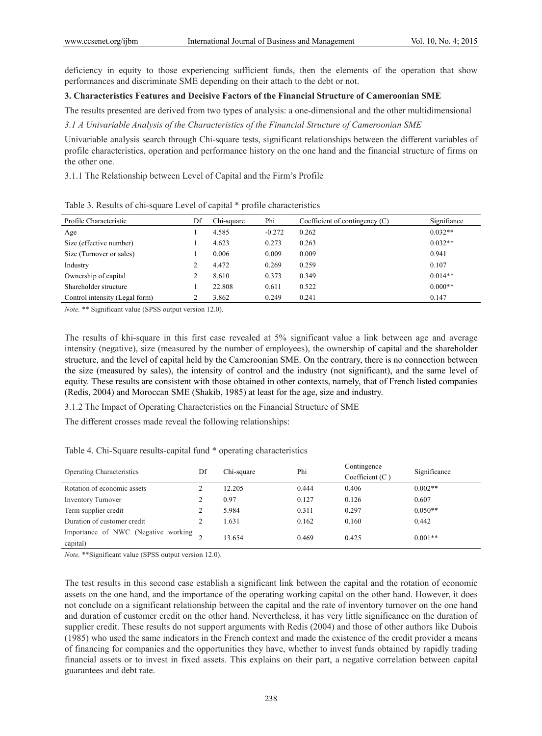deficiency in equity to those experiencing sufficient funds, then the elements of the operation that show performances and discriminate SME depending on their attach to the debt or not.

#### **3. Characteristics Features and Decisive Factors of the Financial Structure of Cameroonian SME**

The results presented are derived from two types of analysis: a one-dimensional and the other multidimensional

*3.1 A Univariable Analysis of the Characteristics of the Financial Structure of Cameroonian SME* 

Univariable analysis search through Chi-square tests, significant relationships between the different variables of profile characteristics, operation and performance history on the one hand and the financial structure of firms on the other one.

3.1.1 The Relationship between Level of Capital and the Firm's Profile

| Profile Characteristic         | Df | Chi-square | Phi      | Coefficient of contingency $(C)$ | Signifiance |
|--------------------------------|----|------------|----------|----------------------------------|-------------|
| Age                            |    | 4.585      | $-0.272$ | 0.262                            | $0.032**$   |
| Size (effective number)        |    | 4.623      | 0.273    | 0.263                            | $0.032**$   |
| Size (Turnover or sales)       |    | 0.006      | 0.009    | 0.009                            | 0.941       |
| Industry                       |    | 4.472      | 0.269    | 0.259                            | 0.107       |
| Ownership of capital           |    | 8.610      | 0.373    | 0.349                            | $0.014**$   |
| Shareholder structure          |    | 22.808     | 0.611    | 0.522                            | $0.000**$   |
| Control intensity (Legal form) |    | 3.862      | 0.249    | 0.241                            | 0.147       |

Table 3. Results of chi-square Level of capital \* profile characteristics

*Note.* \*\* Significant value (SPSS output version 12.0).

The results of khi-square in this first case revealed at 5% significant value a link between age and average intensity (negative), size (measured by the number of employees), the ownership of capital and the shareholder structure, and the level of capital held by the Cameroonian SME. On the contrary, there is no connection between the size (measured by sales), the intensity of control and the industry (not significant), and the same level of equity. These results are consistent with those obtained in other contexts, namely, that of French listed companies (Redis, 2004) and Moroccan SME (Shakib, 1985) at least for the age, size and industry.

3.1.2 The Impact of Operating Characteristics on the Financial Structure of SME

The different crosses made reveal the following relationships:

| <b>Operating Characteristics</b>                | Df | Chi-square | Phi   | Contingence<br>Coefficient $(C)$ | Significance |
|-------------------------------------------------|----|------------|-------|----------------------------------|--------------|
| Rotation of economic assets                     |    | 12.205     | 0.444 | 0.406                            | $0.002**$    |
| <b>Inventory Turnover</b>                       |    | 0.97       | 0.127 | 0.126                            | 0.607        |
| Term supplier credit                            |    | 5.984      | 0.311 | 0.297                            | $0.050**$    |
| Duration of customer credit                     |    | 1.631      | 0.162 | 0.160                            | 0.442        |
| Importance of NWC (Negative working<br>capital) |    | 13.654     | 0.469 | 0.425                            | $0.001**$    |

Table 4. Chi-Square results-capital fund \* operating characteristics

*Note.* \*\*Significant value (SPSS output version 12.0).

The test results in this second case establish a significant link between the capital and the rotation of economic assets on the one hand, and the importance of the operating working capital on the other hand. However, it does not conclude on a significant relationship between the capital and the rate of inventory turnover on the one hand and duration of customer credit on the other hand. Nevertheless, it has very little significance on the duration of supplier credit. These results do not support arguments with Redis (2004) and those of other authors like Dubois (1985) who used the same indicators in the French context and made the existence of the credit provider a means of financing for companies and the opportunities they have, whether to invest funds obtained by rapidly trading financial assets or to invest in fixed assets. This explains on their part, a negative correlation between capital guarantees and debt rate.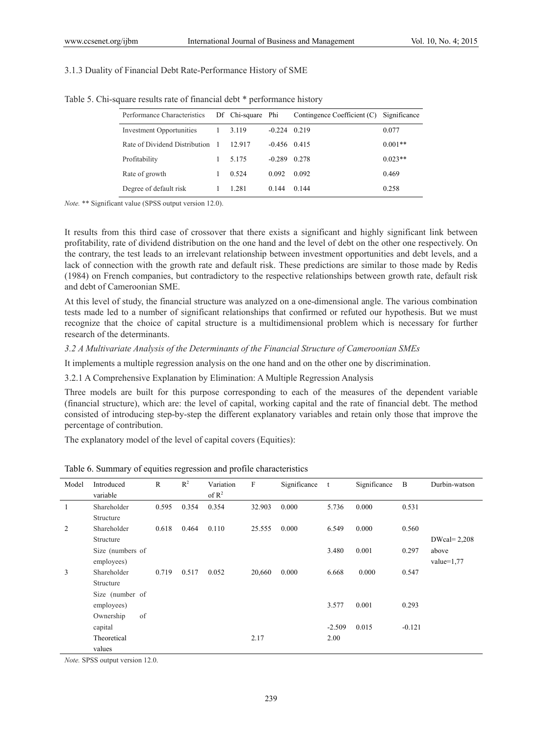#### 3.1.3 Duality of Financial Debt Rate-Performance History of SME

| Performance Characteristics     | Df Chi-square Phi |                | Contingence Coefficient (C) Significance |           |
|---------------------------------|-------------------|----------------|------------------------------------------|-----------|
| <b>Investment Opportunities</b> | 3.119             | $-0.224$ 0.219 |                                          | 0.077     |
| Rate of Dividend Distribution   | 12.917            | $-0.456$ 0.415 |                                          | $0.001**$ |
| Profitability                   | 5.175             | $-0.289$       | 0.278                                    | $0.023**$ |
| Rate of growth                  | 0.524             | 0.092          | 0.092                                    | 0.469     |
| Degree of default risk          | 1.281             | 0.144          | 0.144                                    | 0.258     |
|                                 |                   |                |                                          |           |

Table 5. Chi-square results rate of financial debt \* performance history

*Note.* \*\* Significant value (SPSS output version 12.0).

It results from this third case of crossover that there exists a significant and highly significant link between profitability, rate of dividend distribution on the one hand and the level of debt on the other one respectively. On the contrary, the test leads to an irrelevant relationship between investment opportunities and debt levels, and a lack of connection with the growth rate and default risk. These predictions are similar to those made by Redis (1984) on French companies, but contradictory to the respective relationships between growth rate, default risk and debt of Cameroonian SME.

At this level of study, the financial structure was analyzed on a one-dimensional angle. The various combination tests made led to a number of significant relationships that confirmed or refuted our hypothesis. But we must recognize that the choice of capital structure is a multidimensional problem which is necessary for further research of the determinants.

#### *3.2 A Multivariate Analysis of the Determinants of the Financial Structure of Cameroonian SMEs*

It implements a multiple regression analysis on the one hand and on the other one by discrimination.

3.2.1 A Comprehensive Explanation by Elimination: A Multiple Regression Analysis

Three models are built for this purpose corresponding to each of the measures of the dependent variable (financial structure), which are: the level of capital, working capital and the rate of financial debt. The method consisted of introducing step-by-step the different explanatory variables and retain only those that improve the percentage of contribution.

The explanatory model of the level of capital covers (Equities):

| Model | Introduced       | R     | $R^2$ | Variation | F      | Significance | t        | Significance | B        | Durbin-watson   |
|-------|------------------|-------|-------|-----------|--------|--------------|----------|--------------|----------|-----------------|
|       | variable         |       |       | of $R^2$  |        |              |          |              |          |                 |
| 1     | Shareholder      | 0.595 | 0.354 | 0.354     | 32.903 | 0.000        | 5.736    | 0.000        | 0.531    |                 |
|       | Structure        |       |       |           |        |              |          |              |          |                 |
| 2     | Shareholder      | 0.618 | 0.464 | 0.110     | 25.555 | 0.000        | 6.549    | 0.000        | 0.560    |                 |
|       | Structure        |       |       |           |        |              |          |              |          | $DWcal = 2,208$ |
|       | Size (numbers of |       |       |           |        |              | 3.480    | 0.001        | 0.297    | above           |
|       | employees)       |       |       |           |        |              |          |              |          | value= $1,77$   |
| 3     | Shareholder      | 0.719 | 0.517 | 0.052     | 20,660 | 0.000        | 6.668    | 0.000        | 0.547    |                 |
|       | Structure        |       |       |           |        |              |          |              |          |                 |
|       | Size (number of  |       |       |           |        |              |          |              |          |                 |
|       | employees)       |       |       |           |        |              | 3.577    | 0.001        | 0.293    |                 |
|       | of<br>Ownership  |       |       |           |        |              |          |              |          |                 |
|       | capital          |       |       |           |        |              | $-2.509$ | 0.015        | $-0.121$ |                 |
|       | Theoretical      |       |       |           | 2.17   |              | 2.00     |              |          |                 |
|       | values           |       |       |           |        |              |          |              |          |                 |

Table 6. Summary of equities regression and profile characteristics

*Note.* SPSS output version 12.0.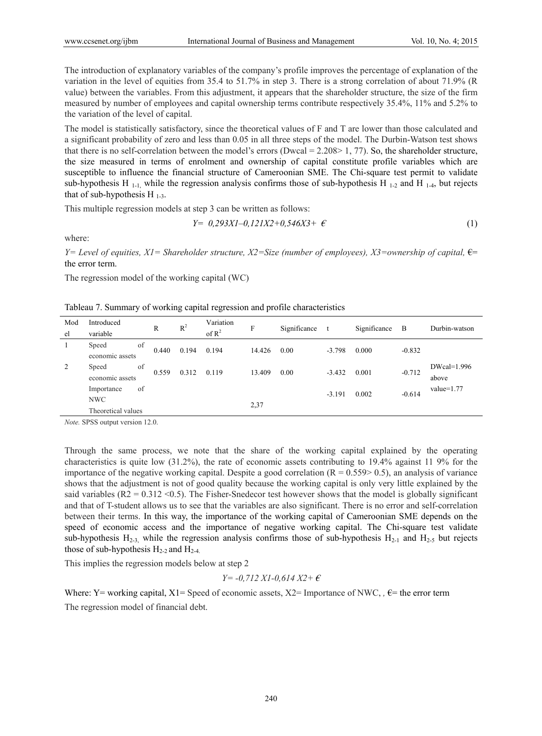The introduction of explanatory variables of the company's profile improves the percentage of explanation of the variation in the level of equities from 35.4 to 51.7% in step 3. There is a strong correlation of about 71.9% (R value) between the variables. From this adjustment, it appears that the shareholder structure, the size of the firm measured by number of employees and capital ownership terms contribute respectively 35.4%, 11% and 5.2% to the variation of the level of capital.

The model is statistically satisfactory, since the theoretical values of F and T are lower than those calculated and a significant probability of zero and less than 0.05 in all three steps of the model. The Durbin-Watson test shows that there is no self-correlation between the model's errors (Dwcal =  $2.208 > 1, 77$ ). So, the shareholder structure, the size measured in terms of enrolment and ownership of capital constitute profile variables which are susceptible to influence the financial structure of Cameroonian SME. The Chi-square test permit to validate sub-hypothesis H<sub>1-1</sub>, while the regression analysis confirms those of sub-hypothesis H<sub>1-2</sub> and H<sub>1-4</sub>, but rejects that of sub-hypothesis H  $_{1-3}$ .

This multiple regression models at step 3 can be written as follows:

$$
Y = 0,293X1 - 0,121X2 + 0,546X3 + \epsilon
$$
\n<sup>(1)</sup>

where:

*Y*= Level of equities, *X1*= Shareholder structure, *X2*=Size (number of employees), *X3*=ownership of capital,  $€=$ the error term.

The regression model of the working capital (WC)

|  |  | Tableau 7. Summary of working capital regression and profile characteristics |
|--|--|------------------------------------------------------------------------------|
|  |  |                                                                              |

| Mod<br>el | Introduced<br>variable                               | R     | $R^2$ | Variation<br>of $R^2$ | F      | Significance |          | Significance | B        | Durbin-watson          |
|-----------|------------------------------------------------------|-------|-------|-----------------------|--------|--------------|----------|--------------|----------|------------------------|
|           | of<br>Speed<br>economic assets                       | 0.440 | 0.194 | 0.194                 | 14.426 | 0.00         | $-3.798$ | 0.000        | $-0.832$ |                        |
| 2         | of<br>Speed<br>economic assets                       | 0.559 | 0.312 | 0.119                 | 13.409 | 0.00         | $-3.432$ | 0.001        | $-0.712$ | $DWcal=1.996$<br>above |
|           | of<br>Importance<br><b>NWC</b><br>Theoretical values |       |       |                       | 2,37   |              | $-3.191$ | 0.002        | $-0.614$ | value= $1.77$          |

*Note.* SPSS output version 12.0.

Through the same process, we note that the share of the working capital explained by the operating characteristics is quite low (31.2%), the rate of economic assets contributing to 19.4% against 11 9% for the importance of the negative working capital. Despite a good correlation  $(R = 0.559 > 0.5)$ , an analysis of variance shows that the adjustment is not of good quality because the working capital is only very little explained by the said variables  $(R2 = 0.312 \le 0.5)$ . The Fisher-Snedecor test however shows that the model is globally significant and that of T-student allows us to see that the variables are also significant. There is no error and self-correlation between their terms. In this way, the importance of the working capital of Cameroonian SME depends on the speed of economic access and the importance of negative working capital. The Chi-square test validate sub-hypothesis  $H_{2-3}$ , while the regression analysis confirms those of sub-hypothesis  $H_{2-1}$  and  $H_{2-5}$  but rejects those of sub-hypothesis  $H_{2-2}$  and  $H_{2-4}$ .

This implies the regression models below at step 2

$$
Y = -0,712 \ XI - 0,614 \ X2 + \epsilon
$$

Where: Y= working capital, X1= Speed of economic assets, X2= Importance of NWC,  $\epsilon$ = the error term The regression model of financial debt.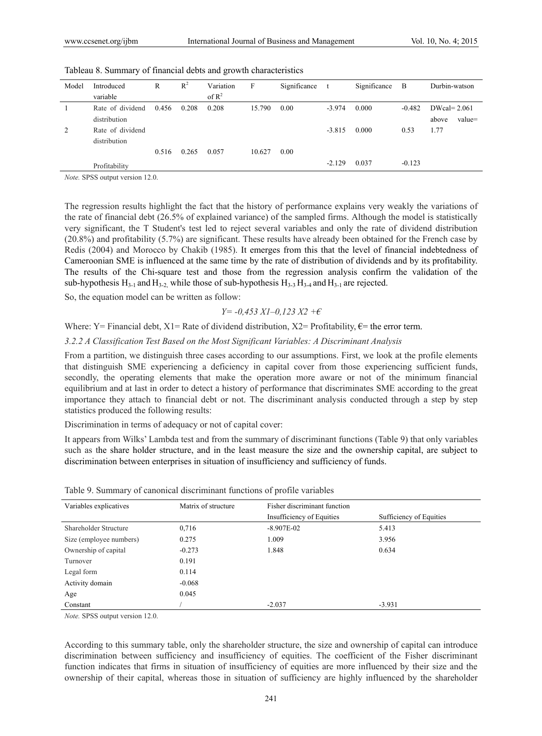| Model | Introduced       | R     | $R^2$ | Variation         | F      | Significance | t        | Significance | $\mathbf{B}$ | Durbin-watson   |
|-------|------------------|-------|-------|-------------------|--------|--------------|----------|--------------|--------------|-----------------|
|       | variable         |       |       | of $\mathbb{R}^2$ |        |              |          |              |              |                 |
|       | Rate of dividend | 0.456 | 0.208 | 0.208             | 15.790 | 0.00         | $-3.974$ | 0.000        | $-0.482$     | $DWcal = 2.061$ |
|       | distribution     |       |       |                   |        |              |          |              |              | value=<br>above |
| 2     | Rate of dividend |       |       |                   |        |              | $-3.815$ | 0.000        | 0.53         | 1.77            |
|       | distribution     |       |       |                   |        |              |          |              |              |                 |
|       |                  | 0.516 | 0.265 | 0.057             | 10.627 | 0.00         |          |              |              |                 |
|       | Profitability    |       |       |                   |        |              | $-2.129$ | 0.037        | $-0.123$     |                 |

|  |  |  |  |  |  | Tableau 8. Summary of financial debts and growth characteristics |
|--|--|--|--|--|--|------------------------------------------------------------------|
|--|--|--|--|--|--|------------------------------------------------------------------|

*Note.* SPSS output version 12.0.

The regression results highlight the fact that the history of performance explains very weakly the variations of the rate of financial debt (26.5% of explained variance) of the sampled firms. Although the model is statistically very significant, the T Student's test led to reject several variables and only the rate of dividend distribution (20.8%) and profitability (5.7%) are significant. These results have already been obtained for the French case by Redis (2004) and Morocco by Chakib (1985). It emerges from this that the level of financial indebtedness of Cameroonian SME is influenced at the same time by the rate of distribution of dividends and by its profitability. The results of the Chi-square test and those from the regression analysis confirm the validation of the sub-hypothesis  $H_{3-1}$  and  $H_{3-2}$ , while those of sub-hypothesis  $H_{3-3}$   $H_{3-4}$  and  $H_{3-1}$  are rejected.

So, the equation model can be written as follow:

$$
Y = -0.453 XI - 0.123 X2 + \epsilon
$$

Where: Y= Financial debt, X1= Rate of dividend distribution, X2= Profitability,  $\epsilon$ = the error term.

*3.2.2 A Classification Test Based on the Most Significant Variables: A Discriminant Analysis* 

From a partition, we distinguish three cases according to our assumptions. First, we look at the profile elements that distinguish SME experiencing a deficiency in capital cover from those experiencing sufficient funds, secondly, the operating elements that make the operation more aware or not of the minimum financial equilibrium and at last in order to detect a history of performance that discriminates SME according to the great importance they attach to financial debt or not. The discriminant analysis conducted through a step by step statistics produced the following results:

Discrimination in terms of adequacy or not of capital cover:

It appears from Wilks' Lambda test and from the summary of discriminant functions (Table 9) that only variables such as the share holder structure, and in the least measure the size and the ownership capital, are subject to discrimination between enterprises in situation of insufficiency and sufficiency of funds.

| Variables explicatives  | Matrix of structure | Fisher discriminant function |                         |  |
|-------------------------|---------------------|------------------------------|-------------------------|--|
|                         |                     | Insufficiency of Equities    | Sufficiency of Equities |  |
| Shareholder Structure   | 0,716               | $-8.907E - 02$               | 5.413                   |  |
| Size (employee numbers) | 0.275               | 1.009                        | 3.956                   |  |
| Ownership of capital    | $-0.273$            | 1.848                        | 0.634                   |  |
| Turnover                | 0.191               |                              |                         |  |
| Legal form              | 0.114               |                              |                         |  |
| Activity domain         | $-0.068$            |                              |                         |  |
| Age                     | 0.045               |                              |                         |  |
| Constant                |                     | $-2.037$                     | $-3.931$                |  |

| Table 9. Summary of canonical discriminant functions of profile variables |
|---------------------------------------------------------------------------|
|---------------------------------------------------------------------------|

*Note.* SPSS output version 12.0.

According to this summary table, only the shareholder structure, the size and ownership of capital can introduce discrimination between sufficiency and insufficiency of equities. The coefficient of the Fisher discriminant function indicates that firms in situation of insufficiency of equities are more influenced by their size and the ownership of their capital, whereas those in situation of sufficiency are highly influenced by the shareholder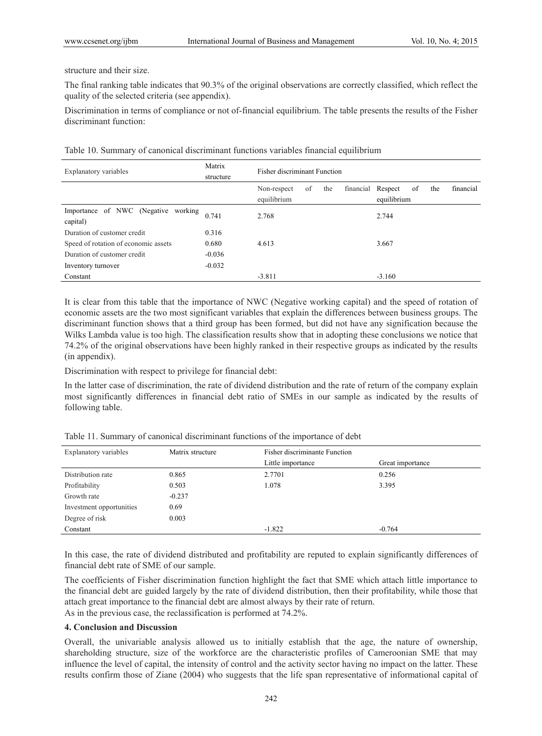structure and their size.

The final ranking table indicates that 90.3% of the original observations are correctly classified, which reflect the quality of the selected criteria (see appendix).

Discrimination in terms of compliance or not of-financial equilibrium. The table presents the results of the Fisher discriminant function:

Table 10. Summary of canonical discriminant functions variables financial equilibrium

| Explanatory variables                           | Matrix<br>structure | <b>Fisher discriminant Function</b>     |                                                            |
|-------------------------------------------------|---------------------|-----------------------------------------|------------------------------------------------------------|
|                                                 |                     | of<br>the<br>Non-respect<br>equilibrium | financial<br>financial Respect<br>the<br>of<br>equilibrium |
| Importance of NWC (Negative working<br>capital) | 0.741               | 2.768                                   | 2.744                                                      |
| Duration of customer credit                     | 0.316               |                                         |                                                            |
| Speed of rotation of economic assets            | 0.680               | 4.613                                   | 3.667                                                      |
| Duration of customer credit                     | $-0.036$            |                                         |                                                            |
| Inventory turnover                              | $-0.032$            |                                         |                                                            |
| Constant                                        |                     | $-3.811$                                | $-3.160$                                                   |

It is clear from this table that the importance of NWC (Negative working capital) and the speed of rotation of economic assets are the two most significant variables that explain the differences between business groups. The discriminant function shows that a third group has been formed, but did not have any signification because the Wilks Lambda value is too high. The classification results show that in adopting these conclusions we notice that 74.2% of the original observations have been highly ranked in their respective groups as indicated by the results (in appendix).

Discrimination with respect to privilege for financial debt:

In the latter case of discrimination, the rate of dividend distribution and the rate of return of the company explain most significantly differences in financial debt ratio of SMEs in our sample as indicated by the results of following table.

| Explanatory variables    | Matrix structure | <b>Fisher discriminante Function</b> |                  |
|--------------------------|------------------|--------------------------------------|------------------|
|                          |                  | Little importance                    | Great importance |
| Distribution rate        | 0.865            | 2.7701                               | 0.256            |
| Profitability            | 0.503            | 1.078                                | 3.395            |
| Growth rate              | $-0.237$         |                                      |                  |
| Investment opportunities | 0.69             |                                      |                  |
| Degree of risk           | 0.003            |                                      |                  |
| Constant                 |                  | $-1.822$                             | $-0.764$         |

Table 11. Summary of canonical discriminant functions of the importance of debt

In this case, the rate of dividend distributed and profitability are reputed to explain significantly differences of financial debt rate of SME of our sample.

The coefficients of Fisher discrimination function highlight the fact that SME which attach little importance to the financial debt are guided largely by the rate of dividend distribution, then their profitability, while those that attach great importance to the financial debt are almost always by their rate of return.

As in the previous case, the reclassification is performed at 74.2%.

## **4. Conclusion and Discussion**

Overall, the univariable analysis allowed us to initially establish that the age, the nature of ownership, shareholding structure, size of the workforce are the characteristic profiles of Cameroonian SME that may influence the level of capital, the intensity of control and the activity sector having no impact on the latter. These results confirm those of Ziane (2004) who suggests that the life span representative of informational capital of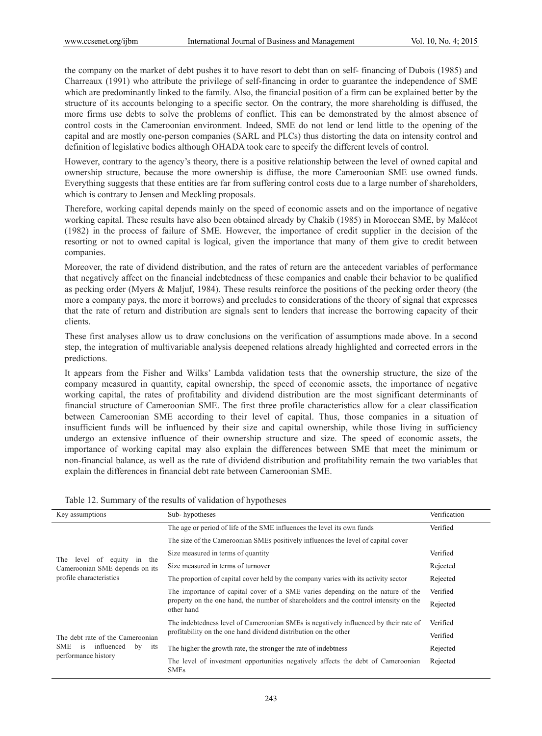the company on the market of debt pushes it to have resort to debt than on self- financing of Dubois (1985) and Charreaux (1991) who attribute the privilege of self-financing in order to guarantee the independence of SME which are predominantly linked to the family. Also, the financial position of a firm can be explained better by the structure of its accounts belonging to a specific sector. On the contrary, the more shareholding is diffused, the more firms use debts to solve the problems of conflict. This can be demonstrated by the almost absence of control costs in the Cameroonian environment. Indeed, SME do not lend or lend little to the opening of the capital and are mostly one-person companies (SARL and PLCs) thus distorting the data on intensity control and definition of legislative bodies although OHADA took care to specify the different levels of control.

However, contrary to the agency's theory, there is a positive relationship between the level of owned capital and ownership structure, because the more ownership is diffuse, the more Cameroonian SME use owned funds. Everything suggests that these entities are far from suffering control costs due to a large number of shareholders, which is contrary to Jensen and Meckling proposals.

Therefore, working capital depends mainly on the speed of economic assets and on the importance of negative working capital. These results have also been obtained already by Chakib (1985) in Moroccan SME, by Malécot (1982) in the process of failure of SME. However, the importance of credit supplier in the decision of the resorting or not to owned capital is logical, given the importance that many of them give to credit between companies.

Moreover, the rate of dividend distribution, and the rates of return are the antecedent variables of performance that negatively affect on the financial indebtedness of these companies and enable their behavior to be qualified as pecking order (Myers & Maljuf, 1984). These results reinforce the positions of the pecking order theory (the more a company pays, the more it borrows) and precludes to considerations of the theory of signal that expresses that the rate of return and distribution are signals sent to lenders that increase the borrowing capacity of their clients.

These first analyses allow us to draw conclusions on the verification of assumptions made above. In a second step, the integration of multivariable analysis deepened relations already highlighted and corrected errors in the predictions.

It appears from the Fisher and Wilks' Lambda validation tests that the ownership structure, the size of the company measured in quantity, capital ownership, the speed of economic assets, the importance of negative working capital, the rates of profitability and dividend distribution are the most significant determinants of financial structure of Cameroonian SME. The first three profile characteristics allow for a clear classification between Cameroonian SME according to their level of capital. Thus, those companies in a situation of insufficient funds will be influenced by their size and capital ownership, while those living in sufficiency undergo an extensive influence of their ownership structure and size. The speed of economic assets, the importance of working capital may also explain the differences between SME that meet the minimum or non-financial balance, as well as the rate of dividend distribution and profitability remain the two variables that explain the differences in financial debt rate between Cameroonian SME.

|  |  |  |  |  |  |  |  | Table 12. Summary of the results of validation of hypotheses |  |
|--|--|--|--|--|--|--|--|--------------------------------------------------------------|--|
|--|--|--|--|--|--|--|--|--------------------------------------------------------------|--|

| Key assumptions                                                                                                                                                                                                                                                                                                                                                                                                   | Sub-hypotheses                                                                        | Verification |
|-------------------------------------------------------------------------------------------------------------------------------------------------------------------------------------------------------------------------------------------------------------------------------------------------------------------------------------------------------------------------------------------------------------------|---------------------------------------------------------------------------------------|--------------|
|                                                                                                                                                                                                                                                                                                                                                                                                                   | The age or period of life of the SME influences the level its own funds               | Verified     |
|                                                                                                                                                                                                                                                                                                                                                                                                                   | The size of the Cameroonian SMEs positively influences the level of capital cover     |              |
|                                                                                                                                                                                                                                                                                                                                                                                                                   | Size measured in terms of quantity                                                    | Verified     |
| of equity in the<br>The<br>level<br>Size measured in terms of turnover<br>Cameroonian SME depends on its<br>profile characteristics<br>other hand<br>profitability on the one hand dividend distribution on the other<br>The debt rate of the Cameroonian<br>SME<br>influenced<br>by<br><i>is</i><br>its<br>The higher the growth rate, the stronger the rate of indebtness<br>performance history<br><b>SMEs</b> |                                                                                       | Rejected     |
|                                                                                                                                                                                                                                                                                                                                                                                                                   | The proportion of capital cover held by the company varies with its activity sector   | Rejected     |
|                                                                                                                                                                                                                                                                                                                                                                                                                   | The importance of capital cover of a SME varies depending on the nature of the        | Verified     |
|                                                                                                                                                                                                                                                                                                                                                                                                                   | property on the one hand, the number of shareholders and the control intensity on the | Rejected     |
|                                                                                                                                                                                                                                                                                                                                                                                                                   | The indebtedness level of Cameroonian SMEs is negatively influenced by their rate of  | Verified     |
|                                                                                                                                                                                                                                                                                                                                                                                                                   |                                                                                       | Verified     |
|                                                                                                                                                                                                                                                                                                                                                                                                                   |                                                                                       | Rejected     |
|                                                                                                                                                                                                                                                                                                                                                                                                                   | The level of investment opportunities negatively affects the debt of Cameroonian      | Rejected     |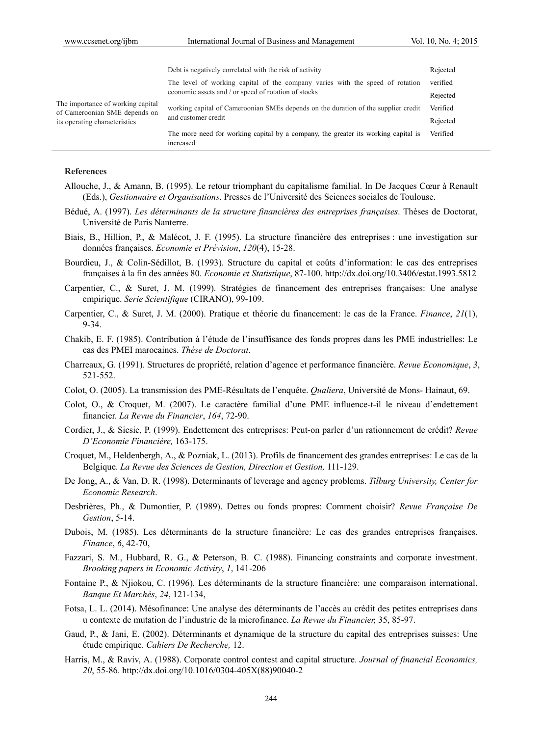|                                                                                                     | Debt is negatively correlated with the risk of activity                                         | Rejected |
|-----------------------------------------------------------------------------------------------------|-------------------------------------------------------------------------------------------------|----------|
| The importance of working capital<br>of Cameroonian SME depends on<br>its operating characteristics | The level of working capital of the company varies with the speed of rotation                   | verified |
|                                                                                                     | economic assets and / or speed of rotation of stocks                                            | Rejected |
|                                                                                                     | working capital of Cameroonian SMEs depends on the duration of the supplier credit              | Verified |
|                                                                                                     | and customer credit                                                                             | Rejected |
|                                                                                                     | The more need for working capital by a company, the greater its working capital is<br>increased | Verified |

#### **References**

- Allouche, J., & Amann, B. (1995). Le retour triomphant du capitalisme familial. In De Jacques Cœur à Renault (Eds.), *Gestionnaire et Organisations*. Presses de l'Université des Sciences sociales de Toulouse.
- Bédué, A. (1997). *Les déterminants de la structure financières des entreprises françaises*. Thèses de Doctorat, Université de Paris Nanterre.
- Biais, B., Hillion, P., & Malécot, J. F. (1995). La structure financière des entreprises : une investigation sur données françaises. *Economie et Prévision*, *120*(4), 15-28.
- Bourdieu, J., & Colin-Sédillot, B. (1993). Structure du capital et coûts d'information: le cas des entreprises françaises à la fin des années 80. *Economie et Statistique*, 87-100. http://dx.doi.org/10.3406/estat.1993.5812
- Carpentier, C., & Suret, J. M. (1999). Stratégies de financement des entreprises françaises: Une analyse empirique. *Serie Scientifique* (CIRANO), 99-109.
- Carpentier, C., & Suret, J. M. (2000). Pratique et théorie du financement: le cas de la France. *Finance*, *21*(1), 9-34.
- Chakib, E. F. (1985). Contribution à l'étude de l'insuffisance des fonds propres dans les PME industrielles: Le cas des PMEI marocaines. *Thèse de Doctorat*.
- Charreaux, G. (1991). Structures de propriété, relation d'agence et performance financière. *Revue Economique*, *3*, 521-552.
- Colot, O. (2005). La transmission des PME-Résultats de l'enquête. *Qualiera*, Université de Mons- Hainaut, 69.
- Colot, O., & Croquet, M. (2007). Le caractère familial d'une PME influence-t-il le niveau d'endettement financier. *La Revue du Financier*, *164*, 72-90.
- Cordier, J., & Sicsic, P. (1999). Endettement des entreprises: Peut-on parler d'un rationnement de crédit? *Revue D'Economie Financière,* 163-175.
- Croquet, M., Heldenbergh, A., & Pozniak, L. (2013). Profils de financement des grandes entreprises: Le cas de la Belgique. *La Revue des Sciences de Gestion, Direction et Gestion,* 111-129.
- De Jong, A., & Van, D. R. (1998). Determinants of leverage and agency problems. *Tilburg University, Center for Economic Research*.
- Desbrières, Ph., & Dumontier, P. (1989). Dettes ou fonds propres: Comment choisir? *Revue Française De Gestion*, 5-14.
- Dubois, M. (1985). Les déterminants de la structure financière: Le cas des grandes entreprises françaises. *Finance*, *6*, 42-70,
- Fazzari, S. M., Hubbard, R. G., & Peterson, B. C. (1988). Financing constraints and corporate investment. *Brooking papers in Economic Activity*, *1*, 141-206
- Fontaine P., & Njiokou, C. (1996). Les déterminants de la structure financière: une comparaison international. *Banque Et Marchés*, *24*, 121-134,
- Fotsa, L. L. (2014). Mésofinance: Une analyse des déterminants de l'accès au crédit des petites entreprises dans u contexte de mutation de l'industrie de la microfinance. *La Revue du Financier,* 35, 85-97.
- Gaud, P., & Jani, E. (2002). Déterminants et dynamique de la structure du capital des entreprises suisses: Une étude empirique. *Cahiers De Recherche,* 12.
- Harris, M., & Raviv, A. (1988). Corporate control contest and capital structure. *Journal of financial Economics, 20*, 55-86. http://dx.doi.org/10.1016/0304-405X(88)90040-2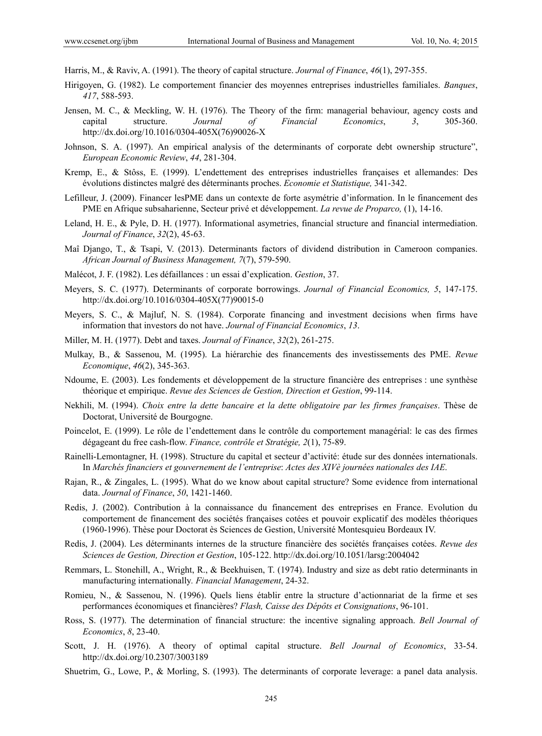Harris, M., & Raviv, A. (1991). The theory of capital structure. *Journal of Finance*, *46*(1), 297-355.

- Hirigoyen, G. (1982). Le comportement financier des moyennes entreprises industrielles familiales. *Banques*, *417*, 588-593.
- Jensen, M. C., & Meckling, W. H. (1976). The Theory of the firm: managerial behaviour, agency costs and capital structure. *Journal of Financial Economics*, *3*, 305-360. http://dx.doi.org/10.1016/0304-405X(76)90026-X
- Johnson, S. A. (1997). An empirical analysis of the determinants of corporate debt ownership structure", *European Economic Review*, *44*, 281-304.
- Kremp, E., & Stôss, E. (1999). L'endettement des entreprises industrielles françaises et allemandes: Des évolutions distinctes malgré des déterminants proches. *Economie et Statistique,* 341-342.
- Lefilleur, J. (2009). Financer lesPME dans un contexte de forte asymétrie d'information. In le financement des PME en Afrique subsaharienne, Secteur privé et développement. *La revue de Proparco,* (1), 14-16.
- Leland, H. E., & Pyle, D. H. (1977). Informational asymetries, financial structure and financial intermediation. *Journal of Finance*, *32*(2), 45-63.
- Maî Django, T., & Tsapi, V. (2013). Determinants factors of dividend distribution in Cameroon companies. *African Journal of Business Management, 7*(7), 579-590.
- Malécot, J. F. (1982). Les défaillances : un essai d'explication. *Gestion*, 37.
- Meyers, S. C. (1977). Determinants of corporate borrowings. *Journal of Financial Economics, 5*, 147-175. http://dx.doi.org/10.1016/0304-405X(77)90015-0
- Meyers, S. C., & Majluf, N. S. (1984). Corporate financing and investment decisions when firms have information that investors do not have. *Journal of Financial Economics*, *13*.
- Miller, M. H. (1977). Debt and taxes. *Journal of Finance*, *32*(2), 261-275.
- Mulkay, B., & Sassenou, M. (1995). La hiérarchie des financements des investissements des PME. *Revue Economique*, *46*(2), 345-363.
- Ndoume, E. (2003). Les fondements et développement de la structure financière des entreprises : une synthèse théorique et empirique. *Revue des Sciences de Gestion, Direction et Gestion*, 99-114.
- Nekhili, M. (1994). *Choix entre la dette bancaire et la dette obligatoire par les firmes françaises*. Thèse de Doctorat, Université de Bourgogne.
- Poincelot, E. (1999). Le rôle de l'endettement dans le contrôle du comportement managérial: le cas des firmes dégageant du free cash-flow. *Finance, contrôle et Stratégie, 2*(1), 75-89.
- Rainelli-Lemontagner, H. (1998). Structure du capital et secteur d'activité: étude sur des données internationals. In *Marchés financiers et gouvernement de l'entreprise*: *Actes des XIVè journées nationales des IAE*.
- Rajan, R., & Zingales, L. (1995). What do we know about capital structure? Some evidence from international data. *Journal of Finance*, *50*, 1421-1460.
- Redis, J. (2002). Contribution à la connaissance du financement des entreprises en France. Evolution du comportement de financement des sociétés françaises cotées et pouvoir explicatif des modèles théoriques (1960-1996). Thèse pour Doctorat ès Sciences de Gestion, Université Montesquieu Bordeaux IV.
- Redis, J. (2004). Les déterminants internes de la structure financière des sociétés françaises cotées. *Revue des Sciences de Gestion, Direction et Gestion*, 105-122. http://dx.doi.org/10.1051/larsg:2004042
- Remmars, L. Stonehill, A., Wright, R., & Beekhuisen, T. (1974). Industry and size as debt ratio determinants in manufacturing internationally*. Financial Management*, 24-32.
- Romieu, N., & Sassenou, N. (1996). Quels liens établir entre la structure d'actionnariat de la firme et ses performances économiques et financières? *Flash, Caisse des Dépôts et Consignations*, 96-101.
- Ross, S. (1977). The determination of financial structure: the incentive signaling approach. *Bell Journal of Economics*, *8*, 23-40.
- Scott, J. H. (1976). A theory of optimal capital structure. *Bell Journal of Economics*, 33-54. http://dx.doi.org/10.2307/3003189
- Shuetrim, G., Lowe, P., & Morling, S. (1993). The determinants of corporate leverage: a panel data analysis.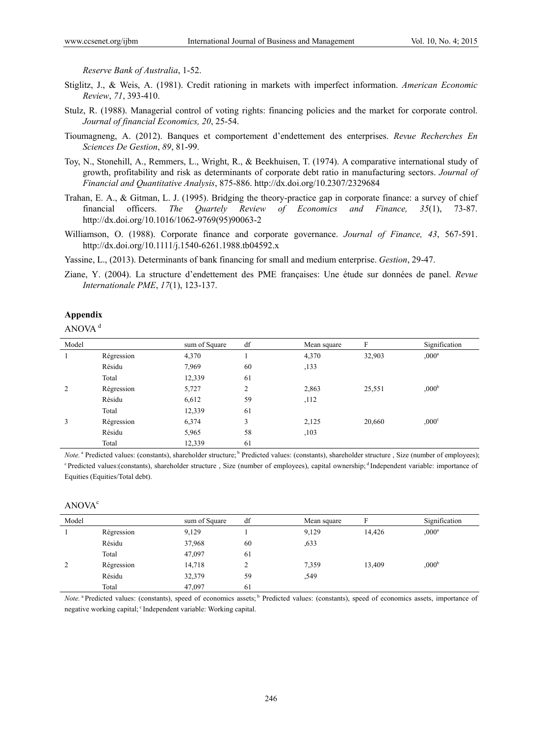*Reserve Bank of Australia*, 1-52.

- Stiglitz, J., & Weis, A. (1981). Credit rationing in markets with imperfect information. *American Economic Review*, *71*, 393-410.
- Stulz, R. (1988). Managerial control of voting rights: financing policies and the market for corporate control. *Journal of financial Economics, 20*, 25-54.
- Tioumagneng, A. (2012). Banques et comportement d'endettement des enterprises. *Revue Recherches En Sciences De Gestion*, *89*, 81-99.
- Toy, N., Stonehill, A., Remmers, L., Wright, R., & Beekhuisen, T. (1974). A comparative international study of growth, profitability and risk as determinants of corporate debt ratio in manufacturing sectors. *Journal of Financial and Quantitative Analysis*, 875-886. http://dx.doi.org/10.2307/2329684
- Trahan, E. A., & Gitman, L. J. (1995). Bridging the theory-practice gap in corporate finance: a survey of chief financial officers. *The Quartely Review of Economics and Finance, 35*(1), 73-87. http://dx.doi.org/10.1016/1062-9769(95)90063-2
- Williamson, O. (1988). Corporate finance and corporate governance. *Journal of Finance, 43*, 567-591. http://dx.doi.org/10.1111/j.1540-6261.1988.tb04592.x

Yassine, L., (2013). Determinants of bank financing for small and medium enterprise. *Gestion*, 29-47.

Ziane, Y. (2004). La structure d'endettement des PME françaises: Une étude sur données de panel. *Revue Internationale PME*, *17*(1), 123-137.

#### **Appendix**

ANOVA <sup>d</sup>

| Model |            | sum of Square | df                 | Mean square | F      | Signification     |
|-------|------------|---------------|--------------------|-------------|--------|-------------------|
|       | Régression | 4,370         |                    | 4,370       | 32,903 | $,000^a$          |
|       | Résidu     | 7,969         | 60                 | , 133       |        |                   |
|       | Total      | 12,339        | 61                 |             |        |                   |
| 2     | Régression | 5,727         | $\mathcal{L}$<br>∠ | 2,863       | 25,551 | ,000 <sup>b</sup> |
|       | Résidu     | 6,612         | 59                 | ,112        |        |                   |
|       | Total      | 12,339        | 61                 |             |        |                   |
| 3     | Régression | 6,374         | 3                  | 2,125       | 20,660 | $0.00^{\circ}$    |
|       | Résidu     | 5,965         | 58                 | ,103        |        |                   |
|       | Total      | 12,339        | 61                 |             |        |                   |

*Note.*<sup>a</sup> Predicted values: (constants), shareholder structure;<sup>b</sup> Predicted values: (constants), shareholder structure, Size (number of employees); <sup>c</sup> Predicted values:(constants), shareholder structure, Size (number of employees), capital ownership; <sup>d</sup> Independent variable: importance of Equities (Equities/Total debt).

#### ANOVA<sup>c</sup>

| Model |            | sum of Square | df | Mean square |        | Signification     |
|-------|------------|---------------|----|-------------|--------|-------------------|
|       | Régression | 9,129         |    | 9,129       | 14,426 | $,000^a$          |
|       | Résidu     | 37,968        | 60 | ,633        |        |                   |
|       | Total      | 47,097        | 61 |             |        |                   |
| 2     | Régression | 14,718        |    | 7.359       | 13.409 | ,000 <sup>b</sup> |
|       | Résidu     | 32,379        | 59 | ,549        |        |                   |
|       | Total      | 47,097        | 61 |             |        |                   |

*Note.* <sup>a</sup> Predicted values: (constants), speed of economics assets; <sup>b</sup> Predicted values: (constants), speed of economics assets, importance of negative working capital; <sup>c</sup> Independent variable: Working capital.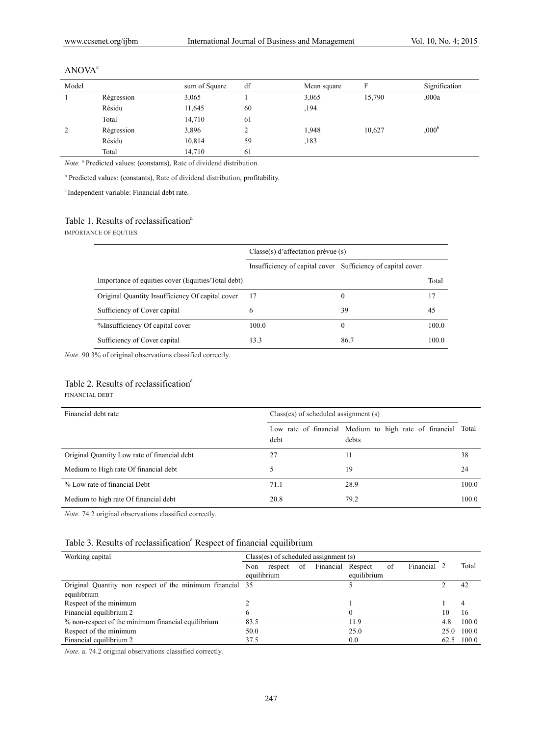| Model         |            | sum of Square | df | Mean square |        | Signification     |
|---------------|------------|---------------|----|-------------|--------|-------------------|
|               | Régression | 3,065         |    | 3,065       | 15,790 | 000a              |
|               | Résidu     | 11,645        | 60 | ,194        |        |                   |
|               | Total      | 14,710        | 61 |             |        |                   |
| $\mathcal{L}$ | Régression | 3,896         | ∸  | 1,948       | 10,627 | ,000 <sup>b</sup> |
|               | Résidu     | 10,814        | 59 | ,183        |        |                   |
|               | Total      | 14,710        | 61 |             |        |                   |

#### ANOVA<sup>c</sup>

Note.<sup>a</sup> Predicted values: (constants), Rate of dividend distribution.

<sup>b</sup> Predicted values: (constants), Rate of dividend distribution, profitability.

c Independent variable: Financial debt rate.

#### Table 1. Results of reclassification<sup>a</sup>

IMPORTANCE OF EQUTIES

|                                                    | $Classe(s)$ d'affectation prévue $(s)$                      |          |       |
|----------------------------------------------------|-------------------------------------------------------------|----------|-------|
|                                                    | Insufficiency of capital cover Sufficiency of capital cover |          |       |
| Importance of equities cover (Equities/Total debt) |                                                             |          | Total |
| Original Quantity Insufficiency Of capital cover   | 17                                                          | 0        | 17    |
| Sufficiency of Cover capital                       | 6                                                           | 39       | 45    |
| %Insufficiency Of capital cover                    | 100.0                                                       | $\Omega$ | 100.0 |
| Sufficiency of Cover capital                       | 13.3                                                        | 86.7     | 100.0 |

*Note.* 90.3% of original observations classified correctly.

#### Table 2. Results of reclassification<sup>a</sup>

#### FINANCIAL DEBT

| Financial debt rate                          | $Class(es)$ of scheduled assignment $(s)$ |                                                                       |       |  |
|----------------------------------------------|-------------------------------------------|-----------------------------------------------------------------------|-------|--|
|                                              | debt                                      | Low rate of financial Medium to high rate of financial Total<br>debts |       |  |
| Original Quantity Low rate of financial debt | 27                                        | 11                                                                    | 38    |  |
| Medium to High rate Of financial debt        |                                           | 19                                                                    | 24    |  |
| % Low rate of financial Debt                 | 71.1                                      | 28.9                                                                  | 100.0 |  |
| Medium to high rate Of financial debt        | 20.8                                      | 79.2                                                                  | 100.0 |  |

*Note.* 74.2 original observations classified correctly.

# Table 3. Results of reclassification<sup>a</sup> Respect of financial equilibrium

| Working capital                                           | $Class(es)$ of scheduled assignment $(s)$ |         |    |                   |             |    |           |      |       |
|-----------------------------------------------------------|-------------------------------------------|---------|----|-------------------|-------------|----|-----------|------|-------|
|                                                           | Non                                       | respect | of | Financial Respect |             | of | Financial |      | Total |
|                                                           | equilibrium                               |         |    |                   | equilibrium |    |           |      |       |
| Original Quantity non respect of the minimum financial 35 |                                           |         |    |                   |             |    |           |      | 42    |
| equilibrium                                               |                                           |         |    |                   |             |    |           |      |       |
| Respect of the minimum                                    |                                           |         |    |                   |             |    |           |      |       |
| Financial equilibrium 2                                   |                                           |         |    |                   |             |    |           | 10   | 16    |
| % non-respect of the minimum financial equilibrium        | 83.5                                      |         |    |                   | 11.9        |    |           | 4.8  | 100.0 |
| Respect of the minimum                                    | 50.0                                      |         |    |                   | 25.0        |    |           | 25.0 | 100.0 |
| Financial equilibrium 2                                   | 37.5                                      |         |    |                   | 0.0         |    |           | 62.5 | 100.0 |

*Note.* a. 74.2 original observations classified correctly.